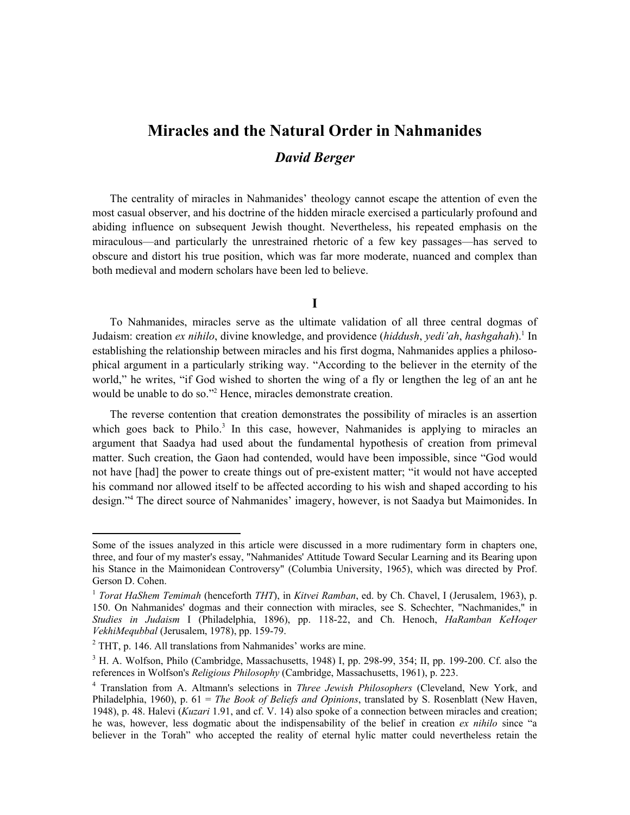## **Miracles and the Natural Order in Nahmanides**

## *David Berger*

The centrality of miracles in Nahmanides' theology cannot escape the attention of even the most casual observer, and his doctrine of the hidden miracle exercised a particularly profound and abiding influence on subsequent Jewish thought. Nevertheless, his repeated emphasis on the miraculous—and particularly the unrestrained rhetoric of a few key passages—has served to obscure and distort his true position, which was far more moderate, nuanced and complex than both medieval and modern scholars have been led to believe.

**I** 

To Nahmanides, miracles serve as the ultimate validation of all three central dogmas of Judaism: creation ex nihilo, divine knowledge, and providence (hiddush, yedi'ah, hashgahah).<sup>1</sup> In establishing the relationship between miracles and his first dogma, Nahmanides applies a philosophical argument in a particularly striking way. "According to the believer in the eternity of the world," he writes, "if God wished to shorten the wing of a fly or lengthen the leg of an ant he would be unable to do so."2 Hence, miracles demonstrate creation.

The reverse contention that creation demonstrates the possibility of miracles is an assertion which goes back to Philo. $3$  In this case, however, Nahmanides is applying to miracles an argument that Saadya had used about the fundamental hypothesis of creation from primeval matter. Such creation, the Gaon had contended, would have been impossible, since "God would not have [had] the power to create things out of pre-existent matter; "it would not have accepted his command nor allowed itself to be affected according to his wish and shaped according to his design."4 The direct source of Nahmanides' imagery, however, is not Saadya but Maimonides. In

Some of the issues analyzed in this article were discussed in a more rudimentary form in chapters one, three, and four of my master's essay, "Nahmanides' Attitude Toward Secular Learning and its Bearing upon his Stance in the Maimonidean Controversy" (Columbia University, 1965), which was directed by Prof. Gerson D. Cohen.

<sup>1</sup> *Torat HaShem Temimah* (henceforth *THT*), in *Kitvei Ramban*, ed. by Ch. Chavel, I (Jerusalem, 1963), p. 150. On Nahmanides' dogmas and their connection with miracles, see S. Schechter, "Nachmanides," in *Studies in Judaism* I (Philadelphia, 1896), pp. 118-22, and Ch. Henoch, *HaRamban KeHoqer VekhiMequbbal* (Jerusalem, 1978), pp. 159-79.

<sup>&</sup>lt;sup>2</sup> THT, p. 146. All translations from Nahmanides' works are mine.<br><sup>3</sup> H A. Welfon, Philo (Combridge Messeshuestte, 1948) J np. 2

 $3$  H. A. Wolfson, Philo (Cambridge, Massachusetts, 1948) I, pp. 298-99, 354; II, pp. 199-200. Cf. also the references in Wolfson's *Religious Philosophy* (Cambridge, Massachusetts, 1961), p. 223. 4

Translation from A. Altmann's selections in *Three Jewish Philosophers* (Cleveland, New York, and Philadelphia, 1960), p. 61 = *The Book of Beliefs and Opinions*, translated by S. Rosenblatt (New Haven, 1948), p. 48. Halevi (*Kuzari* 1.91, and cf. V. 14) also spoke of a connection between miracles and creation; he was, however, less dogmatic about the indispensability of the belief in creation *ex nihilo* since "a believer in the Torah" who accepted the reality of eternal hylic matter could nevertheless retain the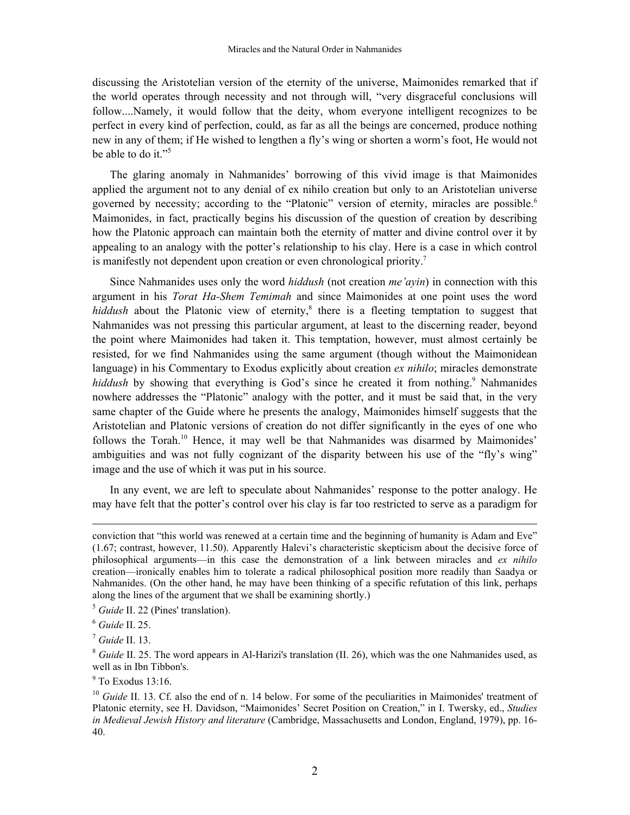discussing the Aristotelian version of the eternity of the universe, Maimonides remarked that if the world operates through necessity and not through will, "very disgraceful conclusions will follow....Namely, it would follow that the deity, whom everyone intelligent recognizes to be perfect in every kind of perfection, could, as far as all the beings are concerned, produce nothing new in any of them; if He wished to lengthen a fly's wing or shorten a worm's foot, He would not be able to do it."<sup>5</sup>

The glaring anomaly in Nahmanides' borrowing of this vivid image is that Maimonides applied the argument not to any denial of ex nihilo creation but only to an Aristotelian universe governed by necessity; according to the "Platonic" version of eternity, miracles are possible.<sup>6</sup> Maimonides, in fact, practically begins his discussion of the question of creation by describing how the Platonic approach can maintain both the eternity of matter and divine control over it by appealing to an analogy with the potter's relationship to his clay. Here is a case in which control is manifestly not dependent upon creation or even chronological priority.<sup>7</sup>

Since Nahmanides uses only the word *hiddush* (not creation *me'ayin*) in connection with this argument in his *Torat Ha-Shem Temimah* and since Maimonides at one point uses the word hiddush about the Platonic view of eternity,<sup>8</sup> there is a fleeting temptation to suggest that Nahmanides was not pressing this particular argument, at least to the discerning reader, beyond the point where Maimonides had taken it. This temptation, however, must almost certainly be resisted, for we find Nahmanides using the same argument (though without the Maimonidean language) in his Commentary to Exodus explicitly about creation *ex nihilo*; miracles demonstrate hiddush by showing that everything is God's since he created it from nothing.<sup>9</sup> Nahmanides nowhere addresses the "Platonic" analogy with the potter, and it must be said that, in the very same chapter of the Guide where he presents the analogy, Maimonides himself suggests that the Aristotelian and Platonic versions of creation do not differ significantly in the eyes of one who follows the Torah.<sup>10</sup> Hence, it may well be that Nahmanides was disarmed by Maimonides' ambiguities and was not fully cognizant of the disparity between his use of the "fly's wing" image and the use of which it was put in his source.

In any event, we are left to speculate about Nahmanides' response to the potter analogy. He may have felt that the potter's control over his clay is far too restricted to serve as a paradigm for

conviction that "this world was renewed at a certain time and the beginning of humanity is Adam and Eve" (1.67; contrast, however, 11.50). Apparently Halevi's characteristic skepticism about the decisive force of philosophical arguments—in this case the demonstration of a link between miracles and *ex nihilo* creation—ironically enables him to tolerate a radical philosophical position more readily than Saadya or Nahmanides. (On the other hand, he may have been thinking of a specific refutation of this link, perhaps along the lines of the argument that we shall be examining shortly.)

<sup>5</sup> *Guide* II. 22 (Pines' translation). 6 *Guide* II. 25.

<sup>&</sup>lt;sup>7</sup> *Guide* II. 13.<br><sup>8</sup> *Guide* II. 25. The word appears in Al-Harizi's translation (II. 26), which was the one Nahmanides used, as well as in Ibn Tibbon's.

 $9$  To Exodus 13:16.

<sup>&</sup>lt;sup>10</sup> *Guide* II. 13. Cf. also the end of n. 14 below. For some of the peculiarities in Maimonides' treatment of Platonic eternity, see H. Davidson, "Maimonides' Secret Position on Creation," in I. Twersky, ed., *Studies in Medieval Jewish History and literature* (Cambridge, Massachusetts and London, England, 1979), pp. 16- 40.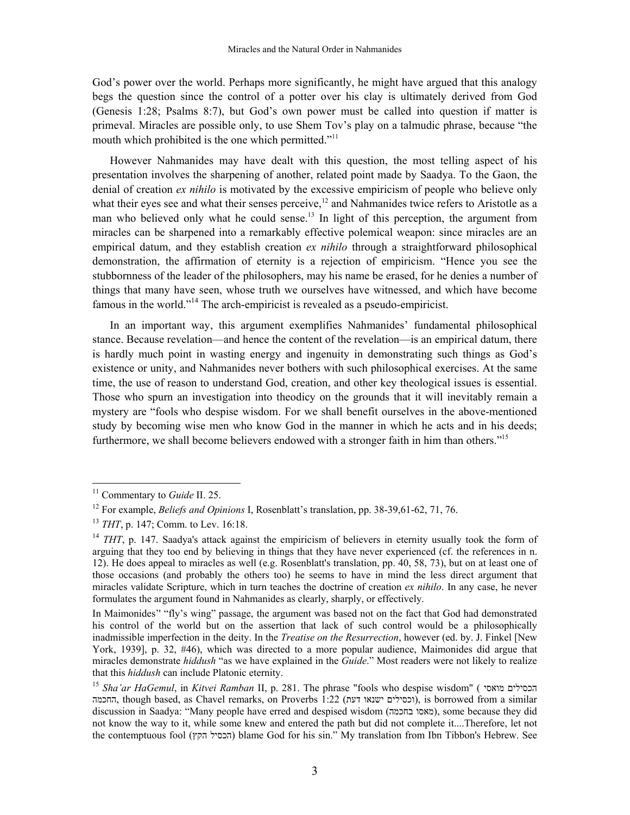God's power over the world. Perhaps more significantly, he might have argued that this analogy begs the question since the control of a potter over his clay is ultimately derived from God (Genesis 1:28; Psalms 8:7), but God's own power must be called into question if matter is primeval. Miracles are possible only, to use Shem Tov's play on a talmudic phrase, because "the mouth which prohibited is the one which permitted."<sup>11</sup>

However Nahmanides may have dealt with this question, the most telling aspect of his presentation involves the sharpening of another, related point made by Saadya. To the Gaon, the denial of creation *ex nihilo* is motivated by the excessive empiricism of people who believe only what their eyes see and what their senses perceive,<sup>12</sup> and Nahmanides twice refers to Aristotle as a man who believed only what he could sense.<sup>13</sup> In light of this perception, the argument from miracles can be sharpened into a remarkably effective polemical weapon: since miracles are an empirical datum, and they establish creation *ex nihilo* through a straightforward philosophical demonstration, the affirmation of eternity is a rejection of empiricism. "Hence you see the stubbornness of the leader of the philosophers, may his name be erased, for he denies a number of things that many have seen, whose truth we ourselves have witnessed, and which have become famous in the world."<sup>14</sup> The arch-empiricist is revealed as a pseudo-empiricist.

In an important way, this argument exemplifies Nahmanides' fundamental philosophical stance. Because revelation—and hence the content of the revelation—is an empirical datum, there is hardly much point in wasting energy and ingenuity in demonstrating such things as God's existence or unity, and Nahmanides never bothers with such philosophical exercises. At the same time, the use of reason to understand God, creation, and other key theological issues is essential. Those who spurn an investigation into theodicy on the grounds that it will inevitably remain a mystery are "fools who despise wisdom. For we shall benefit ourselves in the above-mentioned study by becoming wise men who know God in the manner in which he acts and in his deeds; furthermore, we shall become believers endowed with a stronger faith in him than others."<sup>15</sup>

 $11$  Commentary to *Guide II. 25.* 

<sup>&</sup>lt;sup>12</sup> For example, *Beliefs and Opinions* I, Rosenblatt's translation, pp. 38-39,61-62, 71, 76. <sup>13</sup> *THT*, p. 147; Comm. to Lev. 16:18.

<sup>&</sup>lt;sup>14</sup> *THT*, p. 147. Saadya's attack against the empiricism of believers in eternity usually took the form of arguing that they too end by believing in things that they have never experienced (cf. the references in n. 12). He does appeal to miracles as well (e.g. Rosenblatt's translation, pp. 40, 58, 73), but on at least one of those occasions (and probably the others too) he seems to have in mind the less direct argument that miracles validate Scripture, which in turn teaches the doctrine of creation *ex nihilo*. In any case, he never formulates the argument found in Nahmanides as clearly, sharply, or effectively.

In Maimonides'' "fly's wing" passage, the argument was based not on the fact that God had demonstrated his control of the world but on the assertion that lack of such control would be a philosophically inadmissible imperfection in the deity. In the *Treatise on the Resurrection*, however (ed. by. J. Finkel [New York, 1939], p. 32, #46), which was directed to a more popular audience, Maimonides did argue that miracles demonstrate *hiddush* "as we have explained in the *Guide*." Most readers were not likely to realize that this *hiddush* can include Platonic eternity.

<sup>15</sup> *Sha'ar HaGemul*, in *Kitvei Ramban* II, p. 281. The phrase "fools who despise wisdom" ( מואסי הכסילים החכמה, though based, as Chavel remarks, on Proverbs 1:22 (דכסילים ישנאו דעת), is borrowed from a similar discussion in Saadya: "Many people have erred and despised wisdom (בחכמה מאסו(, some because they did not know the way to it, while some knew and entered the path but did not complete it....Therefore, let not the contemptuous fool (הכסיל הקץ) blame God for his sin." My translation from Ibn Tibbon's Hebrew. See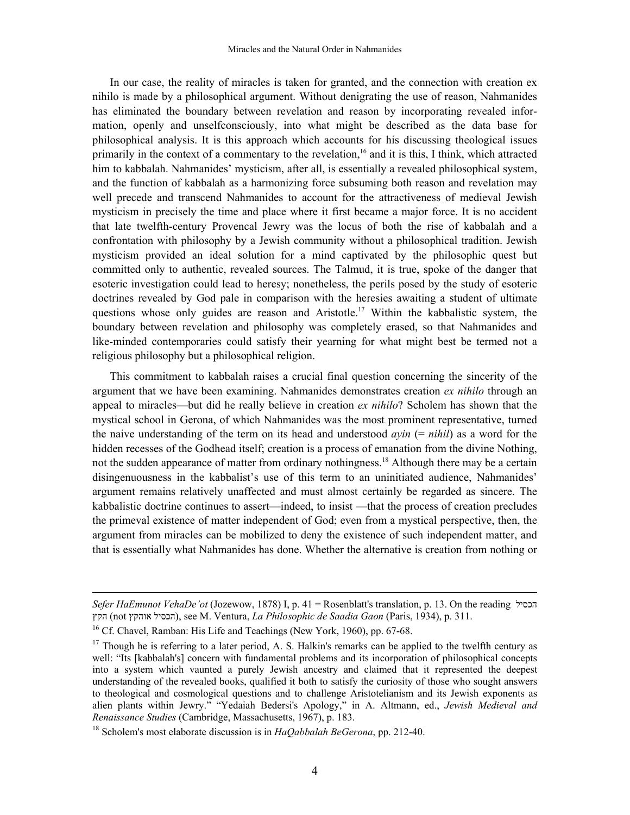In our case, the reality of miracles is taken for granted, and the connection with creation ex nihilo is made by a philosophical argument. Without denigrating the use of reason, Nahmanides has eliminated the boundary between revelation and reason by incorporating revealed information, openly and unselfconsciously, into what might be described as the data base for philosophical analysis. It is this approach which accounts for his discussing theological issues primarily in the context of a commentary to the revelation,  $^{16}$  and it is this, I think, which attracted him to kabbalah. Nahmanides' mysticism, after all, is essentially a revealed philosophical system, and the function of kabbalah as a harmonizing force subsuming both reason and revelation may well precede and transcend Nahmanides to account for the attractiveness of medieval Jewish mysticism in precisely the time and place where it first became a major force. It is no accident that late twelfth-century Provencal Jewry was the locus of both the rise of kabbalah and a confrontation with philosophy by a Jewish community without a philosophical tradition. Jewish mysticism provided an ideal solution for a mind captivated by the philosophic quest but committed only to authentic, revealed sources. The Talmud, it is true, spoke of the danger that esoteric investigation could lead to heresy; nonetheless, the perils posed by the study of esoteric doctrines revealed by God pale in comparison with the heresies awaiting a student of ultimate questions whose only guides are reason and Aristotle.<sup>17</sup> Within the kabbalistic system, the boundary between revelation and philosophy was completely erased, so that Nahmanides and like-minded contemporaries could satisfy their yearning for what might best be termed not a religious philosophy but a philosophical religion.

This commitment to kabbalah raises a crucial final question concerning the sincerity of the argument that we have been examining. Nahmanides demonstrates creation *ex nihilo* through an appeal to miracles—but did he really believe in creation *ex nihilo*? Scholem has shown that the mystical school in Gerona, of which Nahmanides was the most prominent representative, turned the naive understanding of the term on its head and understood *ayin* (= *nihil*) as a word for the hidden recesses of the Godhead itself; creation is a process of emanation from the divine Nothing, not the sudden appearance of matter from ordinary nothingness.<sup>18</sup> Although there may be a certain disingenuousness in the kabbalist's use of this term to an uninitiated audience, Nahmanides' argument remains relatively unaffected and must almost certainly be regarded as sincere. The kabbalistic doctrine continues to assert—indeed, to insist —that the process of creation precludes the primeval existence of matter independent of God; even from a mystical perspective, then, the argument from miracles can be mobilized to deny the existence of such independent matter, and that is essentially what Nahmanides has done. Whether the alternative is creation from nothing or

1

*Sefer HaEmunot VehaDe'ot* (Jozewow, 1878) I, p. 41 = Rosenblatt's translation, p. 13. On the reading הכסיל הקץ) not אוהקץ הכסיל(, see M. Ventura, *La Philosophic de Saadia Gaon* (Paris, 1934), p. 311.

<sup>&</sup>lt;sup>16</sup> Cf. Chavel, Ramban: His Life and Teachings (New York, 1960), pp. 67-68.

 $17$  Though he is referring to a later period, A. S. Halkin's remarks can be applied to the twelfth century as well: "Its [kabbalah's] concern with fundamental problems and its incorporation of philosophical concepts into a system which vaunted a purely Jewish ancestry and claimed that it represented the deepest understanding of the revealed books, qualified it both to satisfy the curiosity of those who sought answers to theological and cosmological questions and to challenge Aristotelianism and its Jewish exponents as alien plants within Jewry." "Yedaiah Bedersi's Apology," in A. Altmann, ed., *Jewish Medieval and Renaissance Studies* (Cambridge, Massachusetts, 1967), p. 183.<br><sup>18</sup> Scholem's most elaborate discussion is in *HaQabbalah BeGerona*, pp. 212-40.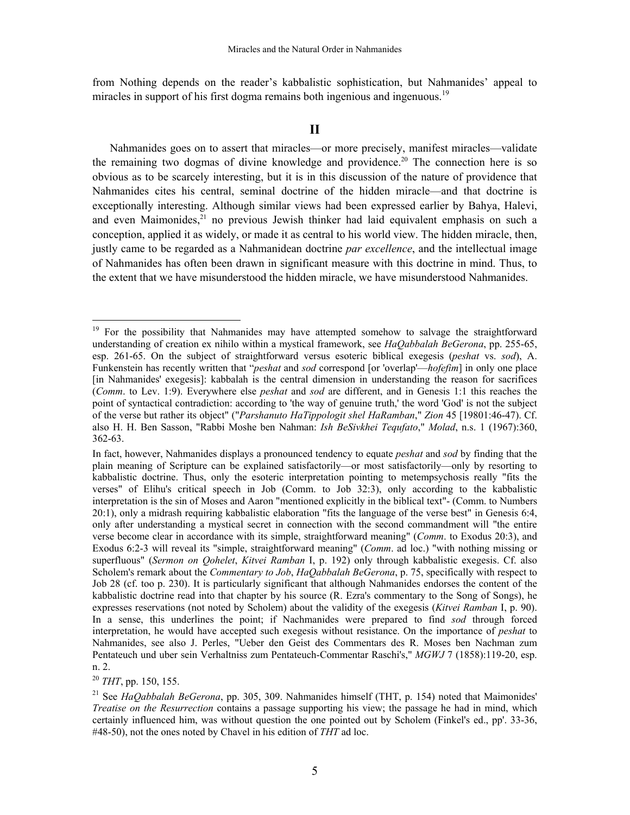from Nothing depends on the reader's kabbalistic sophistication, but Nahmanides' appeal to miracles in support of his first dogma remains both ingenious and ingenuous.<sup>19</sup>

## **II**

Nahmanides goes on to assert that miracles—or more precisely, manifest miracles—validate the remaining two dogmas of divine knowledge and providence.<sup>20</sup> The connection here is so obvious as to be scarcely interesting, but it is in this discussion of the nature of providence that Nahmanides cites his central, seminal doctrine of the hidden miracle—and that doctrine is exceptionally interesting. Although similar views had been expressed earlier by Bahya, Halevi, and even Maimonides, $2<sup>1</sup>$  no previous Jewish thinker had laid equivalent emphasis on such a conception, applied it as widely, or made it as central to his world view. The hidden miracle, then, justly came to be regarded as a Nahmanidean doctrine *par excellence*, and the intellectual image of Nahmanides has often been drawn in significant measure with this doctrine in mind. Thus, to the extent that we have misunderstood the hidden miracle, we have misunderstood Nahmanides.

<sup>&</sup>lt;sup>19</sup> For the possibility that Nahmanides may have attempted somehow to salvage the straightforward understanding of creation ex nihilo within a mystical framework, see *HaQabbalah BeGerona*, pp. 255-65, esp. 261-65. On the subject of straightforward versus esoteric biblical exegesis (*peshat* vs. *sod*), A. Funkenstein has recently written that "*peshat* and *sod* correspond [or 'overlap'—*hofefim*] in only one place [in Nahmanides' exegesis]: kabbalah is the central dimension in understanding the reason for sacrifices (*Comm*. to Lev. 1:9). Everywhere else *peshat* and *sod* are different, and in Genesis 1:1 this reaches the point of syntactical contradiction: according to 'the way of genuine truth,' the word 'God' is not the subject of the verse but rather its object" ("*Parshanuto HaTippologit shel HaRamban*," *Zion* 45 [19801:46-47). Cf. also H. H. Ben Sasson, "Rabbi Moshe ben Nahman: *Ish BeSivkhei Tequfato*," *Molad*, n.s. 1 (1967):360, 362-63.

In fact, however, Nahmanides displays a pronounced tendency to equate *peshat* and *sod* by finding that the plain meaning of Scripture can be explained satisfactorily—or most satisfactorily—only by resorting to kabbalistic doctrine. Thus, only the esoteric interpretation pointing to metempsychosis really "fits the verses" of Elihu's critical speech in Job (Comm. to Job 32:3), only according to the kabbalistic interpretation is the sin of Moses and Aaron "mentioned explicitly in the biblical text"- (Comm. to Numbers 20:1), only a midrash requiring kabbalistic elaboration "fits the language of the verse best" in Genesis 6:4, only after understanding a mystical secret in connection with the second commandment will "the entire verse become clear in accordance with its simple, straightforward meaning" (*Comm*. to Exodus 20:3), and Exodus 6:2-3 will reveal its "simple, straightforward meaning" (*Comm*. ad loc.) "with nothing missing or superfluous" (*Sermon on Qohelet*, *Kitvei Ramban* I, p. 192) only through kabbalistic exegesis. Cf. also Scholem's remark about the *Commentary to Job*, *HaQabbalah BeGerona*, p. 75, specifically with respect to Job 28 (cf. too p. 230). It is particularly significant that although Nahmanides endorses the content of the kabbalistic doctrine read into that chapter by his source (R. Ezra's commentary to the Song of Songs), he expresses reservations (not noted by Scholem) about the validity of the exegesis (*Kitvei Ramban* I, p. 90). In a sense, this underlines the point; if Nachmanides were prepared to find *sod* through forced interpretation, he would have accepted such exegesis without resistance. On the importance of *peshat* to Nahmanides, see also J. Perles, "Ueber den Geist des Commentars des R. Moses ben Nachman zum Pentateuch und uber sein Verhaltniss zum Pentateuch-Commentar Raschi's," *MGWJ* 7 (1858):119-20, esp. n. 2.

<sup>&</sup>lt;sup>20</sup> *THT*, pp. 150, 155.<br><sup>21</sup> See *HaQabbalah BeGerona*, pp. 305, 309. Nahmanides himself (THT, p. 154) noted that Maimonides' *Treatise on the Resurrection* contains a passage supporting his view; the passage he had in mind, which certainly influenced him, was without question the one pointed out by Scholem (Finkel's ed., pp'. 33-36, #48-50), not the ones noted by Chavel in his edition of *THT* ad loc.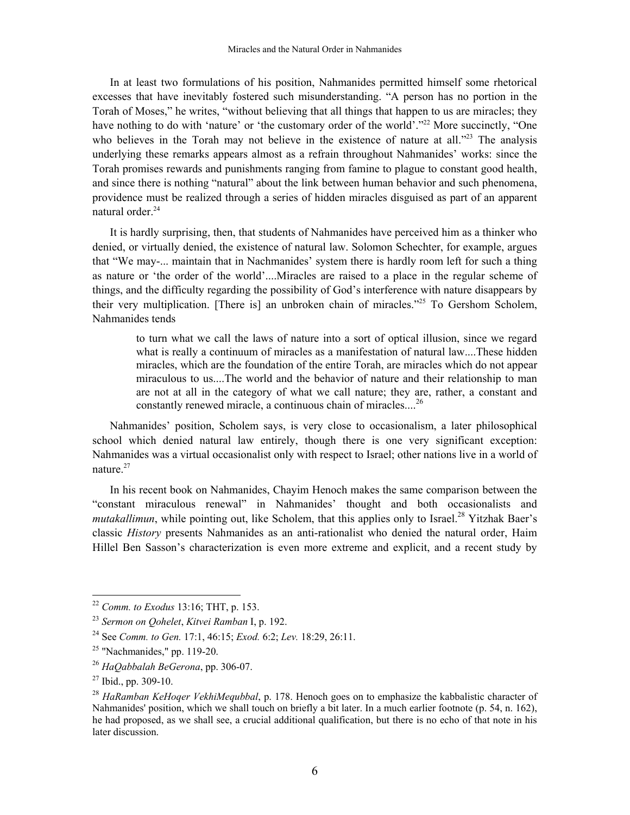In at least two formulations of his position, Nahmanides permitted himself some rhetorical excesses that have inevitably fostered such misunderstanding. "A person has no portion in the Torah of Moses," he writes, "without believing that all things that happen to us are miracles; they have nothing to do with 'nature' or 'the customary order of the world'."<sup>22</sup> More succinctly, "One who believes in the Torah may not believe in the existence of nature at all."<sup>23</sup> The analysis underlying these remarks appears almost as a refrain throughout Nahmanides' works: since the Torah promises rewards and punishments ranging from famine to plague to constant good health, and since there is nothing "natural" about the link between human behavior and such phenomena, providence must be realized through a series of hidden miracles disguised as part of an apparent natural order<sup>24</sup>

It is hardly surprising, then, that students of Nahmanides have perceived him as a thinker who denied, or virtually denied, the existence of natural law. Solomon Schechter, for example, argues that "We may-... maintain that in Nachmanides' system there is hardly room left for such a thing as nature or 'the order of the world'....Miracles are raised to a place in the regular scheme of things, and the difficulty regarding the possibility of God's interference with nature disappears by their very multiplication. [There is] an unbroken chain of miracles."25 To Gershom Scholem, Nahmanides tends

to turn what we call the laws of nature into a sort of optical illusion, since we regard what is really a continuum of miracles as a manifestation of natural law....These hidden miracles, which are the foundation of the entire Torah, are miracles which do not appear miraculous to us....The world and the behavior of nature and their relationship to man are not at all in the category of what we call nature; they are, rather, a constant and constantly renewed miracle, a continuous chain of miracles....<sup>26</sup>

Nahmanides' position, Scholem says, is very close to occasionalism, a later philosophical school which denied natural law entirely, though there is one very significant exception: Nahmanides was a virtual occasionalist only with respect to Israel; other nations live in a world of nature.<sup>27</sup>

In his recent book on Nahmanides, Chayim Henoch makes the same comparison between the "constant miraculous renewal" in Nahmanides' thought and both occasionalists and *mutakallimun*, while pointing out, like Scholem, that this applies only to Israel.<sup>28</sup> Yitzhak Baer's classic *History* presents Nahmanides as an anti-rationalist who denied the natural order, Haim Hillel Ben Sasson's characterization is even more extreme and explicit, and a recent study by

<sup>22</sup> *Comm. to Exodus* 13:16; THT, p. 153.

<sup>23</sup> *Sermon on Qohelet*, *Kitvei Ramban* I, p. 192.

<sup>24</sup> See *Comm. to Gen.* 17:1, 46:15; *Exod.* 6:2; *Lev.* 18:29, 26:11. 25 "Nachmanides," pp. 119-20.

<sup>26</sup> *HaQabbalah BeGerona*, pp. 306-07.

 $27$  Ibid., pp. 309-10.

<sup>28</sup> *HaRamban KeHoqer VekhiMequbbal*, p. 178. Henoch goes on to emphasize the kabbalistic character of Nahmanides' position, which we shall touch on briefly a bit later. In a much earlier footnote (p. 54, n. 162), he had proposed, as we shall see, a crucial additional qualification, but there is no echo of that note in his later discussion.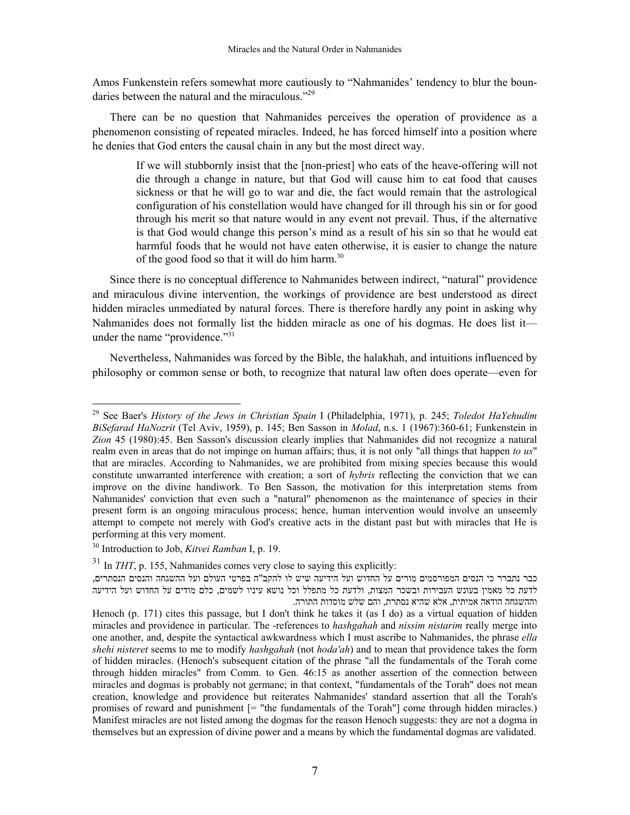Amos Funkenstein refers somewhat more cautiously to "Nahmanides' tendency to blur the boundaries between the natural and the miraculous."<sup>29</sup>

There can be no question that Nahmanides perceives the operation of providence as a phenomenon consisting of repeated miracles. Indeed, he has forced himself into a position where he denies that God enters the causal chain in any but the most direct way.

If we will stubbornly insist that the [non-priest] who eats of the heave-offering will not die through a change in nature, but that God will cause him to eat food that causes sickness or that he will go to war and die, the fact would remain that the astrological configuration of his constellation would have changed for ill through his sin or for good through his merit so that nature would in any event not prevail. Thus, if the alternative is that God would change this person's mind as a result of his sin so that he would eat harmful foods that he would not have eaten otherwise, it is easier to change the nature of the good food so that it will do him harm.<sup>30</sup>

Since there is no conceptual difference to Nahmanides between indirect, "natural" providence and miraculous divine intervention, the workings of providence are best understood as direct hidden miracles unmediated by natural forces. There is therefore hardly any point in asking why Nahmanides does not formally list the hidden miracle as one of his dogmas. He does list it under the name "providence."<sup>31</sup>

Nevertheless, Nahmanides was forced by the Bible, the halakhah, and intuitions influenced by philosophy or common sense or both, to recognize that natural law often does operate—even for

 $\overline{a}$ 

<sup>31</sup> In *THT*, p. 155, Nahmanides comes very close to saying this explicitly:

<sup>29</sup> See Baer's *History of the Jews in Christian Spain* I (Philadelphia, 1971), p. 245; *Toledot HaYehudim BiSefarad HaNozrit* (Tel Aviv, 1959), p. 145; Ben Sasson in *Molad*, n.s. 1 (1967):360-61; Funkenstein in *Zion* 45 (1980):45. Ben Sasson's discussion clearly implies that Nahmanides did not recognize a natural realm even in areas that do not impinge on human affairs; thus, it is not only "all things that happen *to us*" that are miracles. According to Nahmanides, we are prohibited from mixing species because this would constitute unwarranted interference with creation; a sort of *hybris* reflecting the conviction that we can improve on the divine handiwork. To Ben Sasson, the motivation for this interpretation stems from Nahmanides' conviction that even such a "natural" phenomenon as the maintenance of species in their present form is an ongoing miraculous process; hence, human intervention would involve an unseemly attempt to compete not merely with God's creative acts in the distant past but with miracles that He is performing at this very moment.

<sup>30</sup> Introduction to Job, *Kitvei Ramban* I, p. 19.

כבר נתברר כי הנסים המפורסמים מורים על החדוש ועל הידיעה שיש לו להקב"ה בפרטי העולם ועל ההשגחה והנסים הנסתרים, לדעת כל מאמין בעונש העבירות ובשכר המצות, ולדעת כל מתפלל וכל נושא עיניו לשמים, כלם מודים על החדוש ועל הידיעה וההשגחה הודאה אמיתית, אלא שהיא נסתרת, והם שלש מוסדות התורה.

Henoch (p. 171) cites this passage, but I don't think he takes it (as I do) as a virtual equation of hidden miracles and providence in particular. The -references to *hashgahah* and *nissim nistarim* really merge into one another, and, despite the syntactical awkwardness which I must ascribe to Nahmanides, the phrase *ella shehi nisteret* seems to me to modify *hashgahah* (not *hoda'ah*) and to mean that providence takes the form of hidden miracles. (Henoch's subsequent citation of the phrase "all the fundamentals of the Torah come through hidden miracles" from Comm. to Gen. 46:15 as another assertion of the connection between miracles and dogmas is probably not germane; in that context, "fundamentals of the Torah" does not mean creation, knowledge and providence but reiterates Nahmanides' standard assertion that all the Torah's promises of reward and punishment [= "the fundamentals of the Torah"] come through hidden miracles.) Manifest miracles are not listed among the dogmas for the reason Henoch suggests: they are not a dogma in themselves but an expression of divine power and a means by which the fundamental dogmas are validated.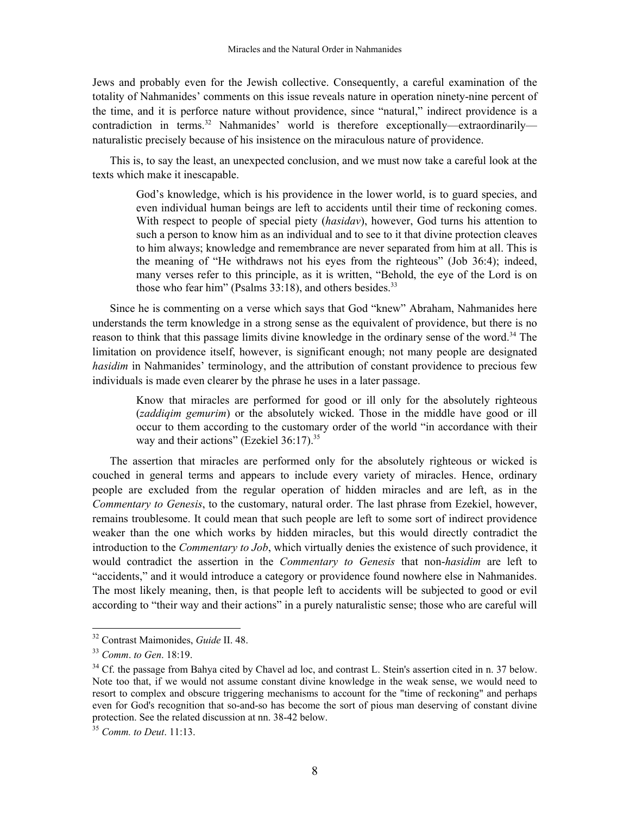Jews and probably even for the Jewish collective. Consequently, a careful examination of the totality of Nahmanides' comments on this issue reveals nature in operation ninety-nine percent of the time, and it is perforce nature without providence, since "natural," indirect providence is a contradiction in terms.<sup>32</sup> Nahmanides' world is therefore exceptionally—extraordinarily naturalistic precisely because of his insistence on the miraculous nature of providence.

This is, to say the least, an unexpected conclusion, and we must now take a careful look at the texts which make it inescapable.

God's knowledge, which is his providence in the lower world, is to guard species, and even individual human beings are left to accidents until their time of reckoning comes. With respect to people of special piety (*hasidav*), however, God turns his attention to such a person to know him as an individual and to see to it that divine protection cleaves to him always; knowledge and remembrance are never separated from him at all. This is the meaning of "He withdraws not his eyes from the righteous" (Job 36:4); indeed, many verses refer to this principle, as it is written, "Behold, the eye of the Lord is on those who fear him" (Psalms  $33:18$ ), and others besides.<sup>33</sup>

Since he is commenting on a verse which says that God "knew" Abraham, Nahmanides here understands the term knowledge in a strong sense as the equivalent of providence, but there is no reason to think that this passage limits divine knowledge in the ordinary sense of the word.<sup>34</sup> The limitation on providence itself, however, is significant enough; not many people are designated *hasidim* in Nahmanides' terminology, and the attribution of constant providence to precious few individuals is made even clearer by the phrase he uses in a later passage.

Know that miracles are performed for good or ill only for the absolutely righteous (*zaddiqim gemurim*) or the absolutely wicked. Those in the middle have good or ill occur to them according to the customary order of the world "in accordance with their way and their actions" (Ezekiel  $36:17$ ).<sup>35</sup>

The assertion that miracles are performed only for the absolutely righteous or wicked is couched in general terms and appears to include every variety of miracles. Hence, ordinary people are excluded from the regular operation of hidden miracles and are left, as in the *Commentary to Genesis*, to the customary, natural order. The last phrase from Ezekiel, however, remains troublesome. It could mean that such people are left to some sort of indirect providence weaker than the one which works by hidden miracles, but this would directly contradict the introduction to the *Commentary to Job*, which virtually denies the existence of such providence, it would contradict the assertion in the *Commentary to Genesis* that non-*hasidim* are left to "accidents," and it would introduce a category or providence found nowhere else in Nahmanides. The most likely meaning, then, is that people left to accidents will be subjected to good or evil according to "their way and their actions" in a purely naturalistic sense; those who are careful will

<sup>&</sup>lt;sup>32</sup> Contrast Maimonides, *Guide* II. 48.<br><sup>33</sup> *Comm. to Gen.* 18:19.<br><sup>34</sup> Cf. the passage from Bahya cited by Chavel ad loc, and contrast L. Stein's assertion cited in n. 37 below. Note too that, if we would not assume constant divine knowledge in the weak sense, we would need to resort to complex and obscure triggering mechanisms to account for the "time of reckoning" and perhaps even for God's recognition that so-and-so has become the sort of pious man deserving of constant divine protection. See the related discussion at nn. 38-42 below.

<sup>35</sup> *Comm. to Deut*. 11:13.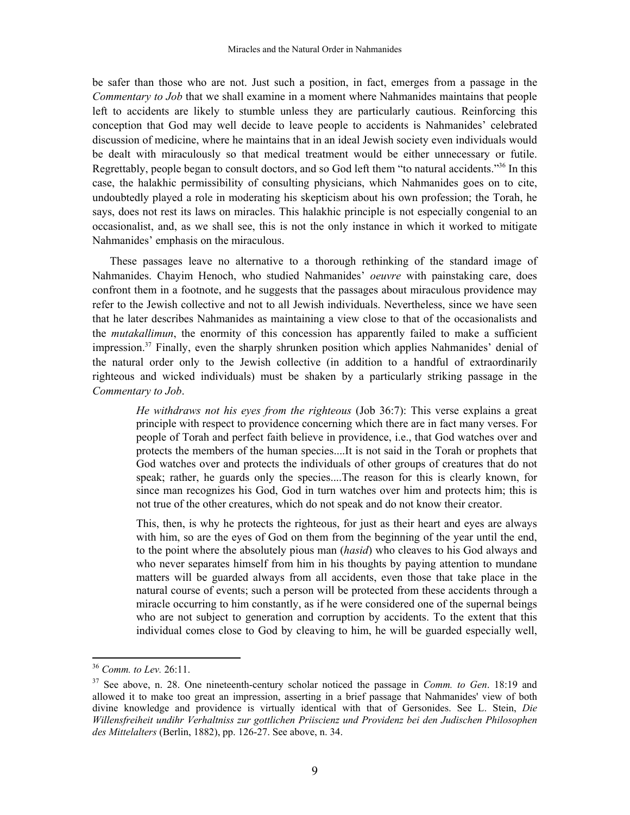be safer than those who are not. Just such a position, in fact, emerges from a passage in the *Commentary to Job* that we shall examine in a moment where Nahmanides maintains that people left to accidents are likely to stumble unless they are particularly cautious. Reinforcing this conception that God may well decide to leave people to accidents is Nahmanides' celebrated discussion of medicine, where he maintains that in an ideal Jewish society even individuals would be dealt with miraculously so that medical treatment would be either unnecessary or futile. Regrettably, people began to consult doctors, and so God left them "to natural accidents."<sup>36</sup> In this case, the halakhic permissibility of consulting physicians, which Nahmanides goes on to cite, undoubtedly played a role in moderating his skepticism about his own profession; the Torah, he says, does not rest its laws on miracles. This halakhic principle is not especially congenial to an occasionalist, and, as we shall see, this is not the only instance in which it worked to mitigate Nahmanides' emphasis on the miraculous.

These passages leave no alternative to a thorough rethinking of the standard image of Nahmanides. Chayim Henoch, who studied Nahmanides' *oeuvre* with painstaking care, does confront them in a footnote, and he suggests that the passages about miraculous providence may refer to the Jewish collective and not to all Jewish individuals. Nevertheless, since we have seen that he later describes Nahmanides as maintaining a view close to that of the occasionalists and the *mutakallimun*, the enormity of this concession has apparently failed to make a sufficient impression.<sup>37</sup> Finally, even the sharply shrunken position which applies Nahmanides' denial of the natural order only to the Jewish collective (in addition to a handful of extraordinarily righteous and wicked individuals) must be shaken by a particularly striking passage in the *Commentary to Job*.

*He withdraws not his eyes from the righteous* (Job 36:7): This verse explains a great principle with respect to providence concerning which there are in fact many verses. For people of Torah and perfect faith believe in providence, i.e., that God watches over and protects the members of the human species....It is not said in the Torah or prophets that God watches over and protects the individuals of other groups of creatures that do not speak; rather, he guards only the species....The reason for this is clearly known, for since man recognizes his God, God in turn watches over him and protects him; this is not true of the other creatures, which do not speak and do not know their creator.

This, then, is why he protects the righteous, for just as their heart and eyes are always with him, so are the eyes of God on them from the beginning of the year until the end, to the point where the absolutely pious man (*hasid*) who cleaves to his God always and who never separates himself from him in his thoughts by paying attention to mundane matters will be guarded always from all accidents, even those that take place in the natural course of events; such a person will be protected from these accidents through a miracle occurring to him constantly, as if he were considered one of the supernal beings who are not subject to generation and corruption by accidents. To the extent that this individual comes close to God by cleaving to him, he will be guarded especially well,

<sup>36</sup> *Comm. to Lev.* 26:11.

<sup>37</sup> See above, n. 28. One nineteenth-century scholar noticed the passage in *Comm. to Gen*. 18:19 and allowed it to make too great an impression, asserting in a brief passage that Nahmanides' view of both divine knowledge and providence is virtually identical with that of Gersonides. See L. Stein, *Die Willensfreiheit undihr Verhaltniss zur gottlichen Priiscienz und Providenz bei den Judischen Philosophen des Mittelalters* (Berlin, 1882), pp. 126-27. See above, n. 34.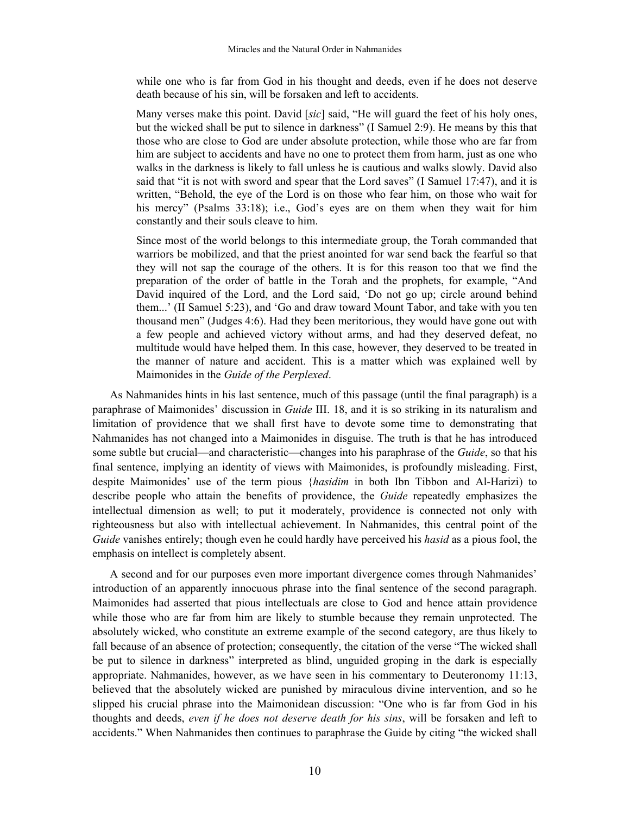while one who is far from God in his thought and deeds, even if he does not deserve death because of his sin, will be forsaken and left to accidents.

Many verses make this point. David [*sic*] said, "He will guard the feet of his holy ones, but the wicked shall be put to silence in darkness" (I Samuel 2:9). He means by this that those who are close to God are under absolute protection, while those who are far from him are subject to accidents and have no one to protect them from harm, just as one who walks in the darkness is likely to fall unless he is cautious and walks slowly. David also said that "it is not with sword and spear that the Lord saves" (I Samuel 17:47), and it is written, "Behold, the eye of the Lord is on those who fear him, on those who wait for his mercy" (Psalms 33:18); i.e., God's eyes are on them when they wait for him constantly and their souls cleave to him.

Since most of the world belongs to this intermediate group, the Torah commanded that warriors be mobilized, and that the priest anointed for war send back the fearful so that they will not sap the courage of the others. It is for this reason too that we find the preparation of the order of battle in the Torah and the prophets, for example, "And David inquired of the Lord, and the Lord said, 'Do not go up; circle around behind them...' (II Samuel 5:23), and 'Go and draw toward Mount Tabor, and take with you ten thousand men" (Judges 4:6). Had they been meritorious, they would have gone out with a few people and achieved victory without arms, and had they deserved defeat, no multitude would have helped them. In this case, however, they deserved to be treated in the manner of nature and accident. This is a matter which was explained well by Maimonides in the *Guide of the Perplexed*.

As Nahmanides hints in his last sentence, much of this passage (until the final paragraph) is a paraphrase of Maimonides' discussion in *Guide* III. 18, and it is so striking in its naturalism and limitation of providence that we shall first have to devote some time to demonstrating that Nahmanides has not changed into a Maimonides in disguise. The truth is that he has introduced some subtle but crucial—and characteristic—changes into his paraphrase of the *Guide*, so that his final sentence, implying an identity of views with Maimonides, is profoundly misleading. First, despite Maimonides' use of the term pious {*hasidim* in both Ibn Tibbon and Al-Harizi) to describe people who attain the benefits of providence, the *Guide* repeatedly emphasizes the intellectual dimension as well; to put it moderately, providence is connected not only with righteousness but also with intellectual achievement. In Nahmanides, this central point of the *Guide* vanishes entirely; though even he could hardly have perceived his *hasid* as a pious fool, the emphasis on intellect is completely absent.

A second and for our purposes even more important divergence comes through Nahmanides' introduction of an apparently innocuous phrase into the final sentence of the second paragraph. Maimonides had asserted that pious intellectuals are close to God and hence attain providence while those who are far from him are likely to stumble because they remain unprotected. The absolutely wicked, who constitute an extreme example of the second category, are thus likely to fall because of an absence of protection; consequently, the citation of the verse "The wicked shall be put to silence in darkness" interpreted as blind, unguided groping in the dark is especially appropriate. Nahmanides, however, as we have seen in his commentary to Deuteronomy 11:13, believed that the absolutely wicked are punished by miraculous divine intervention, and so he slipped his crucial phrase into the Maimonidean discussion: "One who is far from God in his thoughts and deeds, *even if he does not deserve death for his sins*, will be forsaken and left to accidents." When Nahmanides then continues to paraphrase the Guide by citing "the wicked shall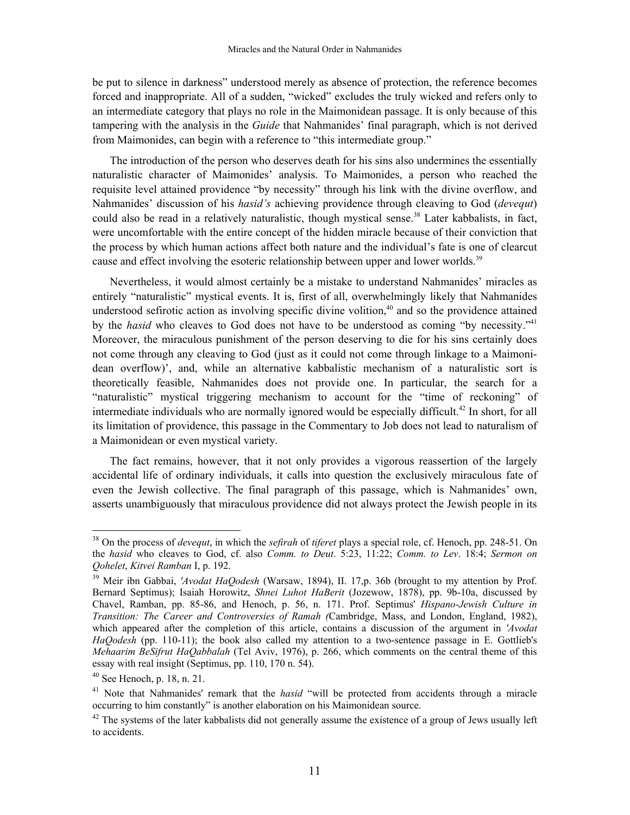be put to silence in darkness" understood merely as absence of protection, the reference becomes forced and inappropriate. All of a sudden, "wicked" excludes the truly wicked and refers only to an intermediate category that plays no role in the Maimonidean passage. It is only because of this tampering with the analysis in the *Guide* that Nahmanides' final paragraph, which is not derived from Maimonides, can begin with a reference to "this intermediate group."

The introduction of the person who deserves death for his sins also undermines the essentially naturalistic character of Maimonides' analysis. To Maimonides, a person who reached the requisite level attained providence "by necessity" through his link with the divine overflow, and Nahmanides' discussion of his *hasid's* achieving providence through cleaving to God (*devequt*) could also be read in a relatively naturalistic, though mystical sense.<sup>38</sup> Later kabbalists, in fact, were uncomfortable with the entire concept of the hidden miracle because of their conviction that the process by which human actions affect both nature and the individual's fate is one of clearcut cause and effect involving the esoteric relationship between upper and lower worlds.<sup>39</sup>

Nevertheless, it would almost certainly be a mistake to understand Nahmanides' miracles as entirely "naturalistic" mystical events. It is, first of all, overwhelmingly likely that Nahmanides understood sefirotic action as involving specific divine volition, $40$  and so the providence attained by the *hasid* who cleaves to God does not have to be understood as coming "by necessity."<sup>41</sup> Moreover, the miraculous punishment of the person deserving to die for his sins certainly does not come through any cleaving to God (just as it could not come through linkage to a Maimonidean overflow)', and, while an alternative kabbalistic mechanism of a naturalistic sort is theoretically feasible, Nahmanides does not provide one. In particular, the search for a "naturalistic" mystical triggering mechanism to account for the "time of reckoning" of intermediate individuals who are normally ignored would be especially difficult.<sup>42</sup> In short, for all its limitation of providence, this passage in the Commentary to Job does not lead to naturalism of a Maimonidean or even mystical variety.

The fact remains, however, that it not only provides a vigorous reassertion of the largely accidental life of ordinary individuals, it calls into question the exclusively miraculous fate of even the Jewish collective. The final paragraph of this passage, which is Nahmanides' own, asserts unambiguously that miraculous providence did not always protect the Jewish people in its

<sup>38</sup> On the process of *devequt*, in which the *sefirah* of *tiferet* plays a special role, cf. Henoch, pp. 248-51. On the *hasid* who cleaves to God, cf. also *Comm. to Deut*. 5:23, 11:22; *Comm. to Lev*. 18:4; *Sermon on Qohelet*, *Kitvei Ramban* I, p. 192.

<sup>39</sup> Meir ibn Gabbai, *'Avodat HaQodesh* (Warsaw, 1894), II. 17,p. 36b (brought to my attention by Prof. Bernard Septimus); Isaiah Horowitz, *Shnei Luhot HaBerit* (Jozewow, 1878), pp. 9b-10a, discussed by Chavel, Ramban, pp. 85-86, and Henoch, p. 56, n. 171. Prof. Septimus' *Hispano-Jewish Culture in Transition: The Career and Controversies of Ramah (*Cambridge, Mass, and London, England, 1982), which appeared after the completion of this article, contains a discussion of the argument in *'Avodat HaQodesh* (pp. 110-11); the book also called my attention to a two-sentence passage in E. Gottlieb's *Mehaarim BeSifrut HaQabbalah* (Tel Aviv, 1976), p. 266, which comments on the central theme of this essay with real insight (Septimus, pp. 110, 170 n. 54).

 $40$  See Henoch, p. 18, n. 21.

<sup>41</sup> Note that Nahmanides' remark that the *hasid* "will be protected from accidents through a miracle occurring to him constantly" is another elaboration on his Maimonidean source.

<sup>&</sup>lt;sup>42</sup> The systems of the later kabbalists did not generally assume the existence of a group of Jews usually left to accidents.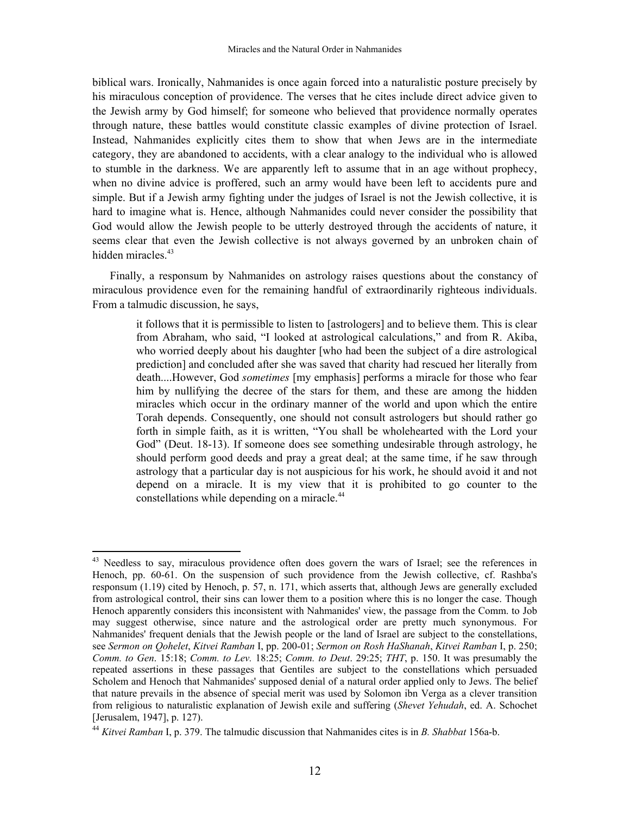biblical wars. Ironically, Nahmanides is once again forced into a naturalistic posture precisely by his miraculous conception of providence. The verses that he cites include direct advice given to the Jewish army by God himself; for someone who believed that providence normally operates through nature, these battles would constitute classic examples of divine protection of Israel. Instead, Nahmanides explicitly cites them to show that when Jews are in the intermediate category, they are abandoned to accidents, with a clear analogy to the individual who is allowed to stumble in the darkness. We are apparently left to assume that in an age without prophecy, when no divine advice is proffered, such an army would have been left to accidents pure and simple. But if a Jewish army fighting under the judges of Israel is not the Jewish collective, it is hard to imagine what is. Hence, although Nahmanides could never consider the possibility that God would allow the Jewish people to be utterly destroyed through the accidents of nature, it seems clear that even the Jewish collective is not always governed by an unbroken chain of hidden miracles.<sup>43</sup>

Finally, a responsum by Nahmanides on astrology raises questions about the constancy of miraculous providence even for the remaining handful of extraordinarily righteous individuals. From a talmudic discussion, he says,

it follows that it is permissible to listen to [astrologers] and to believe them. This is clear from Abraham, who said, "I looked at astrological calculations," and from R. Akiba, who worried deeply about his daughter [who had been the subject of a dire astrological prediction] and concluded after she was saved that charity had rescued her literally from death....However, God *sometimes* [my emphasis] performs a miracle for those who fear him by nullifying the decree of the stars for them, and these are among the hidden miracles which occur in the ordinary manner of the world and upon which the entire Torah depends. Consequently, one should not consult astrologers but should rather go forth in simple faith, as it is written, "You shall be wholehearted with the Lord your God" (Deut. 18-13). If someone does see something undesirable through astrology, he should perform good deeds and pray a great deal; at the same time, if he saw through astrology that a particular day is not auspicious for his work, he should avoid it and not depend on a miracle. It is my view that it is prohibited to go counter to the constellations while depending on a miracle.<sup>44</sup>

<sup>&</sup>lt;sup>43</sup> Needless to say, miraculous providence often does govern the wars of Israel; see the references in Henoch, pp. 60-61. On the suspension of such providence from the Jewish collective, cf. Rashba's responsum (1.19) cited by Henoch, p. 57, n. 171, which asserts that, although Jews are generally excluded from astrological control, their sins can lower them to a position where this is no longer the case. Though Henoch apparently considers this inconsistent with Nahmanides' view, the passage from the Comm. to Job may suggest otherwise, since nature and the astrological order are pretty much synonymous. For Nahmanides' frequent denials that the Jewish people or the land of Israel are subject to the constellations, see *Sermon on Qohelet*, *Kitvei Ramban* I, pp. 200-01; *Sermon on Rosh HaShanah*, *Kitvei Ramban* I, p. 250; *Comm. to Gen*. 15:18; *Comm. to Lev.* 18:25; *Comm. to Deut*. 29:25; *THT*, p. 150. It was presumably the repeated assertions in these passages that Gentiles are subject to the constellations which persuaded Scholem and Henoch that Nahmanides' supposed denial of a natural order applied only to Jews. The belief that nature prevails in the absence of special merit was used by Solomon ibn Verga as a clever transition from religious to naturalistic explanation of Jewish exile and suffering (*Shevet Yehudah*, ed. A. Schochet [Jerusalem, 1947], p. 127).

<sup>44</sup> *Kitvei Ramban* I, p. 379. The talmudic discussion that Nahmanides cites is in *B. Shabbat* 156a-b.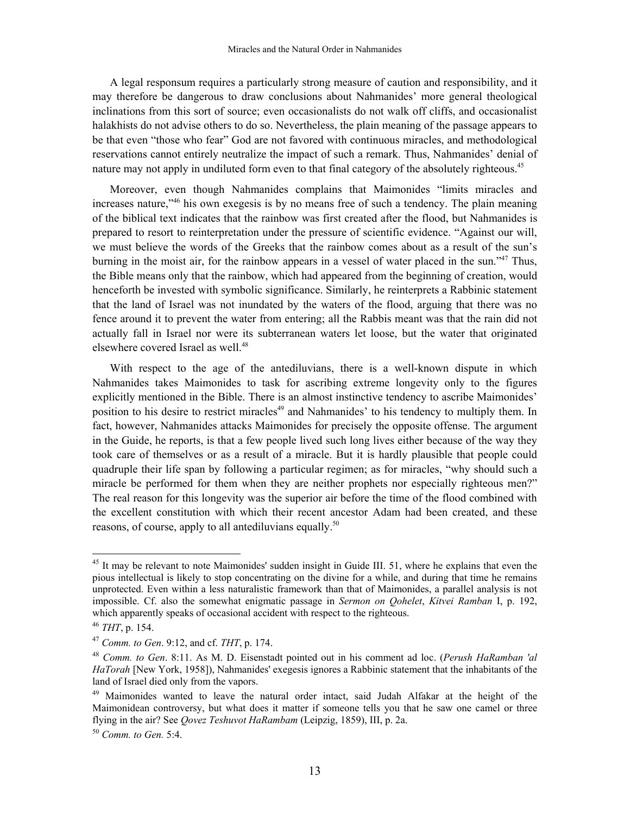A legal responsum requires a particularly strong measure of caution and responsibility, and it may therefore be dangerous to draw conclusions about Nahmanides' more general theological inclinations from this sort of source; even occasionalists do not walk off cliffs, and occasionalist halakhists do not advise others to do so. Nevertheless, the plain meaning of the passage appears to be that even "those who fear" God are not favored with continuous miracles, and methodological reservations cannot entirely neutralize the impact of such a remark. Thus, Nahmanides' denial of nature may not apply in undiluted form even to that final category of the absolutely righteous.<sup>45</sup>

Moreover, even though Nahmanides complains that Maimonides "limits miracles and increases nature,"46 his own exegesis is by no means free of such a tendency. The plain meaning of the biblical text indicates that the rainbow was first created after the flood, but Nahmanides is prepared to resort to reinterpretation under the pressure of scientific evidence. "Against our will, we must believe the words of the Greeks that the rainbow comes about as a result of the sun's burning in the moist air, for the rainbow appears in a vessel of water placed in the sun."<sup>47</sup> Thus, the Bible means only that the rainbow, which had appeared from the beginning of creation, would henceforth be invested with symbolic significance. Similarly, he reinterprets a Rabbinic statement that the land of Israel was not inundated by the waters of the flood, arguing that there was no fence around it to prevent the water from entering; all the Rabbis meant was that the rain did not actually fall in Israel nor were its subterranean waters let loose, but the water that originated elsewhere covered Israel as well.<sup>48</sup>

With respect to the age of the antediluvians, there is a well-known dispute in which Nahmanides takes Maimonides to task for ascribing extreme longevity only to the figures explicitly mentioned in the Bible. There is an almost instinctive tendency to ascribe Maimonides' position to his desire to restrict miracles<sup>49</sup> and Nahmanides' to his tendency to multiply them. In fact, however, Nahmanides attacks Maimonides for precisely the opposite offense. The argument in the Guide, he reports, is that a few people lived such long lives either because of the way they took care of themselves or as a result of a miracle. But it is hardly plausible that people could quadruple their life span by following a particular regimen; as for miracles, "why should such a miracle be performed for them when they are neither prophets nor especially righteous men?" The real reason for this longevity was the superior air before the time of the flood combined with the excellent constitution with which their recent ancestor Adam had been created, and these reasons, of course, apply to all antediluvians equally.<sup>50</sup>

<sup>&</sup>lt;sup>45</sup> It may be relevant to note Maimonides' sudden insight in Guide III. 51, where he explains that even the pious intellectual is likely to stop concentrating on the divine for a while, and during that time he remains unprotected. Even within a less naturalistic framework than that of Maimonides, a parallel analysis is not impossible. Cf. also the somewhat enigmatic passage in *Sermon on Qohelet*, *Kitvei Ramban* I, p. 192, which apparently speaks of occasional accident with respect to the righteous.

<sup>&</sup>lt;sup>46</sup> *THT*, p. 154.<br><sup>47</sup> *Comm. to Gen.* 9:12, and cf. *THT*, p. 174.<br><sup>48</sup> *Comm. to Gen.* 8:11. As M. D. Eisenstadt pointed out in his comment ad loc. (*Perush HaRamban 'al HaTorah* [New York, 1958]), Nahmanides' exegesis ignores a Rabbinic statement that the inhabitants of the land of Israel died only from the vapors.

<sup>&</sup>lt;sup>49</sup> Maimonides wanted to leave the natural order intact, said Judah Alfakar at the height of the Maimonidean controversy, but what does it matter if someone tells you that he saw one camel or three flying in the air? See *Qovez Teshuvot HaRambam* (Leipzig, 1859), III, p. 2a.

<sup>50</sup> *Comm. to Gen.* 5:4.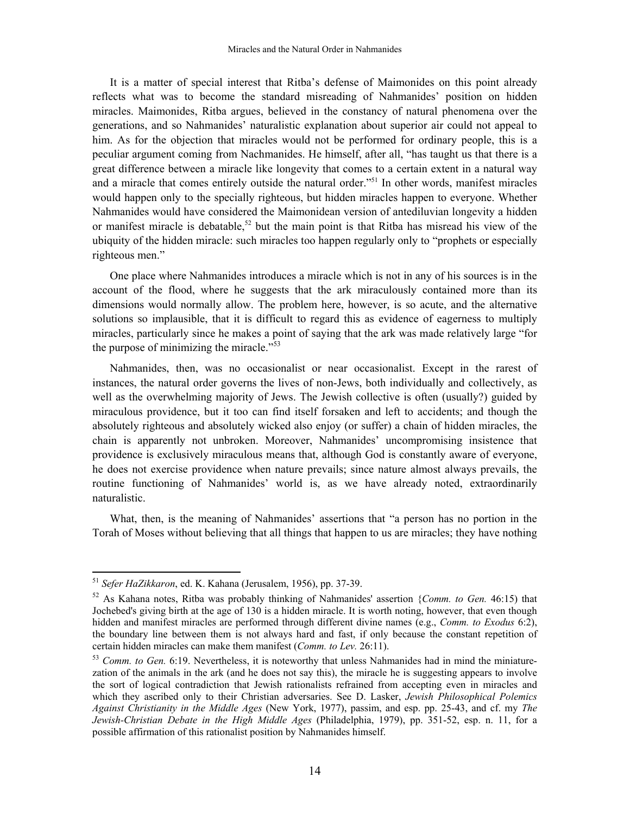It is a matter of special interest that Ritba's defense of Maimonides on this point already reflects what was to become the standard misreading of Nahmanides' position on hidden miracles. Maimonides, Ritba argues, believed in the constancy of natural phenomena over the generations, and so Nahmanides' naturalistic explanation about superior air could not appeal to him. As for the objection that miracles would not be performed for ordinary people, this is a peculiar argument coming from Nachmanides. He himself, after all, "has taught us that there is a great difference between a miracle like longevity that comes to a certain extent in a natural way and a miracle that comes entirely outside the natural order."<sup>51</sup> In other words, manifest miracles would happen only to the specially righteous, but hidden miracles happen to everyone. Whether Nahmanides would have considered the Maimonidean version of antediluvian longevity a hidden or manifest miracle is debatable,<sup>52</sup> but the main point is that Ritba has misread his view of the ubiquity of the hidden miracle: such miracles too happen regularly only to "prophets or especially righteous men."

One place where Nahmanides introduces a miracle which is not in any of his sources is in the account of the flood, where he suggests that the ark miraculously contained more than its dimensions would normally allow. The problem here, however, is so acute, and the alternative solutions so implausible, that it is difficult to regard this as evidence of eagerness to multiply miracles, particularly since he makes a point of saying that the ark was made relatively large "for the purpose of minimizing the miracle. $153$ 

Nahmanides, then, was no occasionalist or near occasionalist. Except in the rarest of instances, the natural order governs the lives of non-Jews, both individually and collectively, as well as the overwhelming majority of Jews. The Jewish collective is often (usually?) guided by miraculous providence, but it too can find itself forsaken and left to accidents; and though the absolutely righteous and absolutely wicked also enjoy (or suffer) a chain of hidden miracles, the chain is apparently not unbroken. Moreover, Nahmanides' uncompromising insistence that providence is exclusively miraculous means that, although God is constantly aware of everyone, he does not exercise providence when nature prevails; since nature almost always prevails, the routine functioning of Nahmanides' world is, as we have already noted, extraordinarily naturalistic.

What, then, is the meaning of Nahmanides' assertions that "a person has no portion in the Torah of Moses without believing that all things that happen to us are miracles; they have nothing

<sup>&</sup>lt;sup>51</sup> Sefer HaZikkaron, ed. K. Kahana (Jerusalem, 1956), pp. 37-39.

 $52$  As Kahana notes, Ritba was probably thinking of Nahmanides' assertion {*Comm. to Gen.* 46:15) that Jochebed's giving birth at the age of 130 is a hidden miracle. It is worth noting, however, that even though hidden and manifest miracles are performed through different divine names (e.g., *Comm. to Exodus* 6:2), the boundary line between them is not always hard and fast, if only because the constant repetition of certain hidden miracles can make them manifest (*Comm. to Lev.* 26:11).<br><sup>53</sup> *Comm. to Gen.* 6:19. Nevertheless, it is noteworthy that unless Nahmanides had in mind the miniature-

zation of the animals in the ark (and he does not say this), the miracle he is suggesting appears to involve the sort of logical contradiction that Jewish rationalists refrained from accepting even in miracles and which they ascribed only to their Christian adversaries. See D. Lasker, *Jewish Philosophical Polemics Against Christianity in the Middle Ages* (New York, 1977), passim, and esp. pp. 25-43, and cf. my *The Jewish-Christian Debate in the High Middle Ages* (Philadelphia, 1979), pp. 351-52, esp. n. 11, for a possible affirmation of this rationalist position by Nahmanides himself.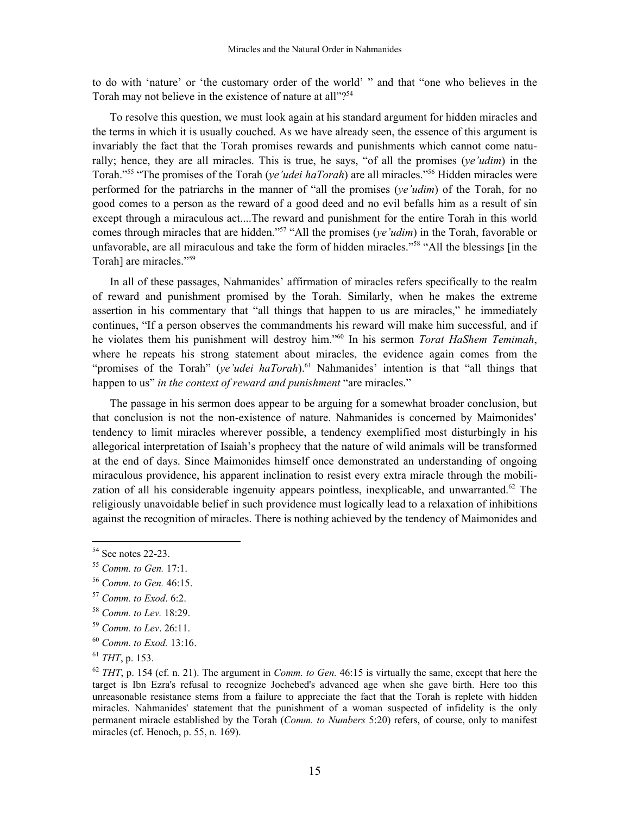to do with 'nature' or 'the customary order of the world' " and that "one who believes in the Torah may not believe in the existence of nature at all"?<sup>54</sup>

To resolve this question, we must look again at his standard argument for hidden miracles and the terms in which it is usually couched. As we have already seen, the essence of this argument is invariably the fact that the Torah promises rewards and punishments which cannot come naturally; hence, they are all miracles. This is true, he says, "of all the promises (*ye'udim*) in the Torah."55 "The promises of the Torah (*ye'udei haTorah*) are all miracles."56 Hidden miracles were performed for the patriarchs in the manner of "all the promises (*ye'udim*) of the Torah, for no good comes to a person as the reward of a good deed and no evil befalls him as a result of sin except through a miraculous act....The reward and punishment for the entire Torah in this world comes through miracles that are hidden."57 "All the promises (*ye'udim*) in the Torah, favorable or unfavorable, are all miraculous and take the form of hidden miracles."<sup>58</sup> "All the blessings [in the Torah] are miracles."59

In all of these passages, Nahmanides' affirmation of miracles refers specifically to the realm of reward and punishment promised by the Torah. Similarly, when he makes the extreme assertion in his commentary that "all things that happen to us are miracles," he immediately continues, "If a person observes the commandments his reward will make him successful, and if he violates them his punishment will destroy him."60 In his sermon *Torat HaShem Temimah*, where he repeats his strong statement about miracles, the evidence again comes from the "promises of the Torah" (*ye'udei haTorah*).<sup>61</sup> Nahmanides' intention is that "all things that happen to us" *in the context of reward and punishment* "are miracles."

The passage in his sermon does appear to be arguing for a somewhat broader conclusion, but that conclusion is not the non-existence of nature. Nahmanides is concerned by Maimonides' tendency to limit miracles wherever possible, a tendency exemplified most disturbingly in his allegorical interpretation of Isaiah's prophecy that the nature of wild animals will be transformed at the end of days. Since Maimonides himself once demonstrated an understanding of ongoing miraculous providence, his apparent inclination to resist every extra miracle through the mobilization of all his considerable ingenuity appears pointless, inexplicable, and unwarranted.<sup>62</sup> The religiously unavoidable belief in such providence must logically lead to a relaxation of inhibitions against the recognition of miracles. There is nothing achieved by the tendency of Maimonides and

<sup>&</sup>lt;sup>54</sup> See notes 22-23.

<sup>55</sup> *Comm. to Gen.* 17:1. 56 *Comm. to Gen.* 46:15.

<sup>57</sup> *Comm. to Exod*. 6:2. 58 *Comm. to Lev.* 18:29. 59 *Comm. to Lev*. 26:11.

<sup>&</sup>lt;sup>60</sup> *Comm. to Exod.* 13:16.<br><sup>61</sup> *THT*, p. 153.<br><sup>62</sup> *THT*, p. 154 (cf. n. 21). The argument in *Comm. to Gen.* 46:15 is virtually the same, except that here the target is Ibn Ezra's refusal to recognize Jochebed's advanced age when she gave birth. Here too this unreasonable resistance stems from a failure to appreciate the fact that the Torah is replete with hidden miracles. Nahmanides' statement that the punishment of a woman suspected of infidelity is the only permanent miracle established by the Torah (*Comm. to Numbers* 5:20) refers, of course, only to manifest miracles (cf. Henoch, p. 55, n. 169).